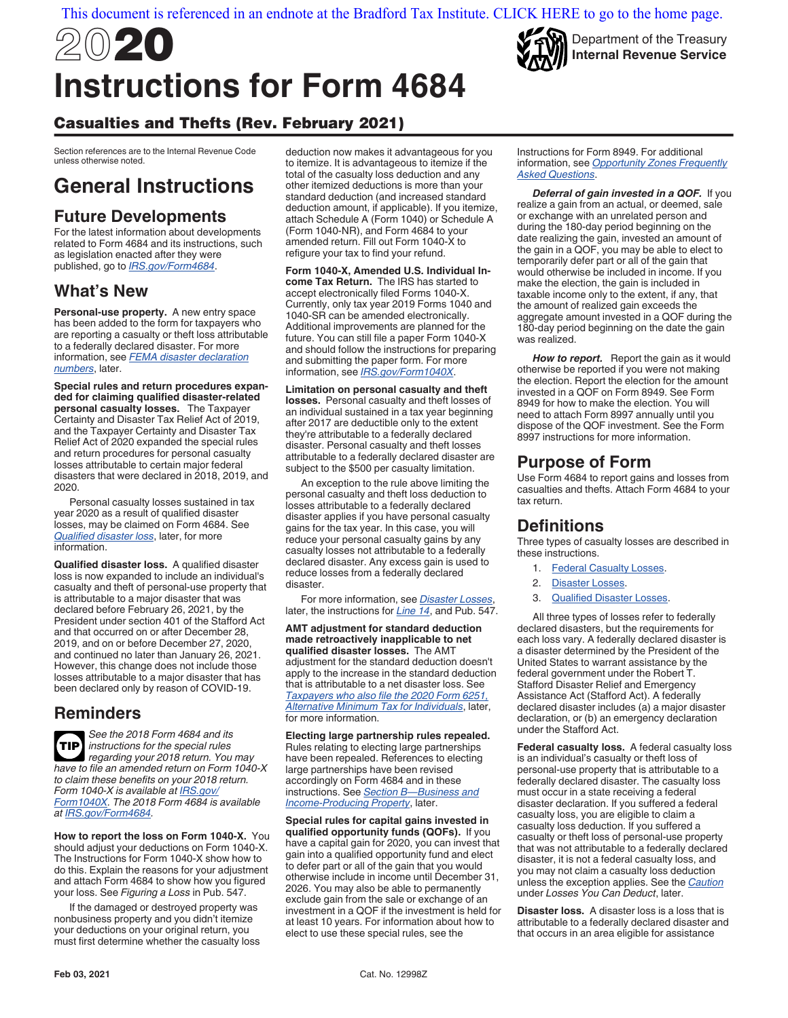[This document is referenced in an endnote at the Bradford Tax Institute. CLICK HERE to go to the home page.](https://www.bradfordtaxinstitute.com)

<span id="page-0-0"></span>

# Casualties and Thefts (Rev. February 2021)

Section references are to the Internal Revenue Code unless otherwise noted.

# **General Instructions**

# **Future Developments**

For the latest information about developments related to Form 4684 and its instructions, such as legislation enacted after they were published, go to *[IRS.gov/Form4684](https://www.irs.gov/form4684)*.

# **What's New**

**Personal-use property.** A new entry space has been added to the form for taxpayers who are reporting a casualty or theft loss attributable to a federally declared disaster. For more information, see *[FEMA disaster declaration](#page-3-0) [numbers](#page-3-0)*, later.

**Special rules and return procedures expanded for claiming qualified disaster-related personal casualty losses.** The Taxpayer Certainty and Disaster Tax Relief Act of 2019, and the Taxpayer Certainty and Disaster Tax Relief Act of 2020 expanded the special rules and return procedures for personal casualty losses attributable to certain major federal disasters that were declared in 2018, 2019, and 2020.

Personal casualty losses sustained in tax year 2020 as a result of qualified disaster losses, may be claimed on Form 4684. See *[Qualified disaster loss](#page-1-0)*, later, for more information.

**Qualified disaster loss.** A qualified disaster loss is now expanded to include an individual's casualty and theft of personal-use property that is attributable to a major disaster that was declared before February 26, 2021, by the President under section 401 of the Stafford Act and that occurred on or after December 28, 2019, and on or before December 27, 2020, and continued no later than January 26, 2021. However, this change does not include those losses attributable to a major disaster that has been declared only by reason of COVID-19.

# **Reminders**



*See the 2018 Form 4684 and its instructions for the special rules regarding your 2018 return. You may have to file an amended return on Form 1040-X to claim these benefits on your 2018 return. Form 1040-X is available at [IRS.gov/](https://www.irs.gov/form1040X) [Form1040X.](https://www.irs.gov/form1040X) The 2018 Form 4684 is available at [IRS.gov/Form4684](https://www.irs.gov/form4684).*

**How to report the loss on Form 1040-X.** You should adjust your deductions on Form 1040-X. The Instructions for Form 1040-X show how to do this. Explain the reasons for your adjustment and attach Form 4684 to show how you figured your loss. See *Figuring a Loss* in Pub. 547.

If the damaged or destroyed property was nonbusiness property and you didn't itemize your deductions on your original return, you must first determine whether the casualty loss deduction now makes it advantageous for you to itemize. It is advantageous to itemize if the total of the casualty loss deduction and any other itemized deductions is more than your standard deduction (and increased standard deduction amount, if applicable). If you itemize, attach Schedule A (Form 1040) or Schedule A (Form 1040-NR), and Form 4684 to your amended return. Fill out Form 1040-X to refigure your tax to find your refund.

**Form 1040-X, Amended U.S. Individual Income Tax Return.** The IRS has started to accept electronically filed Forms 1040-X. Currently, only tax year 2019 Forms 1040 and 1040-SR can be amended electronically. Additional improvements are planned for the future. You can still file a paper Form 1040-X and should follow the instructions for preparing and submitting the paper form. For more information, see *[IRS.gov/Form1040X](https://www.irs.gov/form1040X)*.

**Limitation on personal casualty and theft losses.** Personal casualty and theft losses of an individual sustained in a tax year beginning after 2017 are deductible only to the extent they're attributable to a federally declared disaster. Personal casualty and theft losses attributable to a federally declared disaster are subject to the \$500 per casualty limitation.

An exception to the rule above limiting the personal casualty and theft loss deduction to losses attributable to a federally declared disaster applies if you have personal casualty gains for the tax year. In this case, you will reduce your personal casualty gains by any casualty losses not attributable to a federally declared disaster. Any excess gain is used to reduce losses from a federally declared disaster.

For more information, see *[Disaster Losses](#page-1-0)*, later, the instructions for *[Line 14](#page-4-0)*, and Pub. 547.

**AMT adjustment for standard deduction made retroactively inapplicable to net qualified disaster losses.** The AMT adjustment for the standard deduction doesn't apply to the increase in the standard deduction that is attributable to a net disaster loss. See *[Taxpayers who also file the 2020 Form 6251,](#page-5-0)  [Alternative Minimum Tax for Individuals](#page-5-0)*, later, for more information.

**Electing large partnership rules repealed.**  Rules relating to electing large partnerships have been repealed. References to electing large partnerships have been revised accordingly on Form 4684 and in these instructions. See *[Section B—Business and](#page-5-0) [Income-Producing Property](#page-5-0)*, later.

**Special rules for capital gains invested in qualified opportunity funds (QOFs).** If you have a capital gain for 2020, you can invest that gain into a qualified opportunity fund and elect to defer part or all of the gain that you would otherwise include in income until December 31, 2026. You may also be able to permanently exclude gain from the sale or exchange of an investment in a QOF if the investment is held for at least 10 years. For information about how to elect to use these special rules, see the

Instructions for Form 8949. For additional information, see *[Opportunity Zones Frequently](https://www.irs.gov/newsroom/opportunity-zones-frequently-asked-questions) [Asked Questions](https://www.irs.gov/newsroom/opportunity-zones-frequently-asked-questions)*.

Department of the Treasury **Internal Revenue Service**

*Deferral of gain invested in a QOF.* If you realize a gain from an actual, or deemed, sale or exchange with an unrelated person and during the 180-day period beginning on the date realizing the gain, invested an amount of the gain in a QOF, you may be able to elect to temporarily defer part or all of the gain that would otherwise be included in income. If you make the election, the gain is included in taxable income only to the extent, if any, that the amount of realized gain exceeds the aggregate amount invested in a QOF during the 180-day period beginning on the date the gain was realized.

How to report. Report the gain as it would otherwise be reported if you were not making the election. Report the election for the amount invested in a QOF on Form 8949. See Form 8949 for how to make the election. You will need to attach Form 8997 annually until you dispose of the QOF investment. See the Form 8997 instructions for more information.

# **Purpose of Form**

Use Form 4684 to report gains and losses from casualties and thefts. Attach Form 4684 to your tax return.

# **Definitions**

Three types of casualty losses are described in these instructions.

- 1. Federal Casualty Losses.
- 2. Disaster Losses.
- 3. [Qualified Disaster Losses.](#page-1-0)

All three types of losses refer to federally declared disasters, but the requirements for each loss vary. A federally declared disaster is a disaster determined by the President of the United States to warrant assistance by the federal government under the Robert T. Stafford Disaster Relief and Emergency Assistance Act (Stafford Act). A federally declared disaster includes (a) a major disaster declaration, or (b) an emergency declaration under the Stafford Act.

**Federal casualty loss.** A federal casualty loss is an individual's casualty or theft loss of personal-use property that is attributable to a federally declared disaster. The casualty loss must occur in a state receiving a federal disaster declaration. If you suffered a federal casualty loss, you are eligible to claim a casualty loss deduction. If you suffered a casualty or theft loss of personal-use property that was not attributable to a federally declared disaster, it is not a federal casualty loss, and you may not claim a casualty loss deduction unless the exception applies. See the *[Caution](#page-1-0)*  under *Losses You Can Deduct*, later.

**Disaster loss.** A disaster loss is a loss that is attributable to a federally declared disaster and that occurs in an area eligible for assistance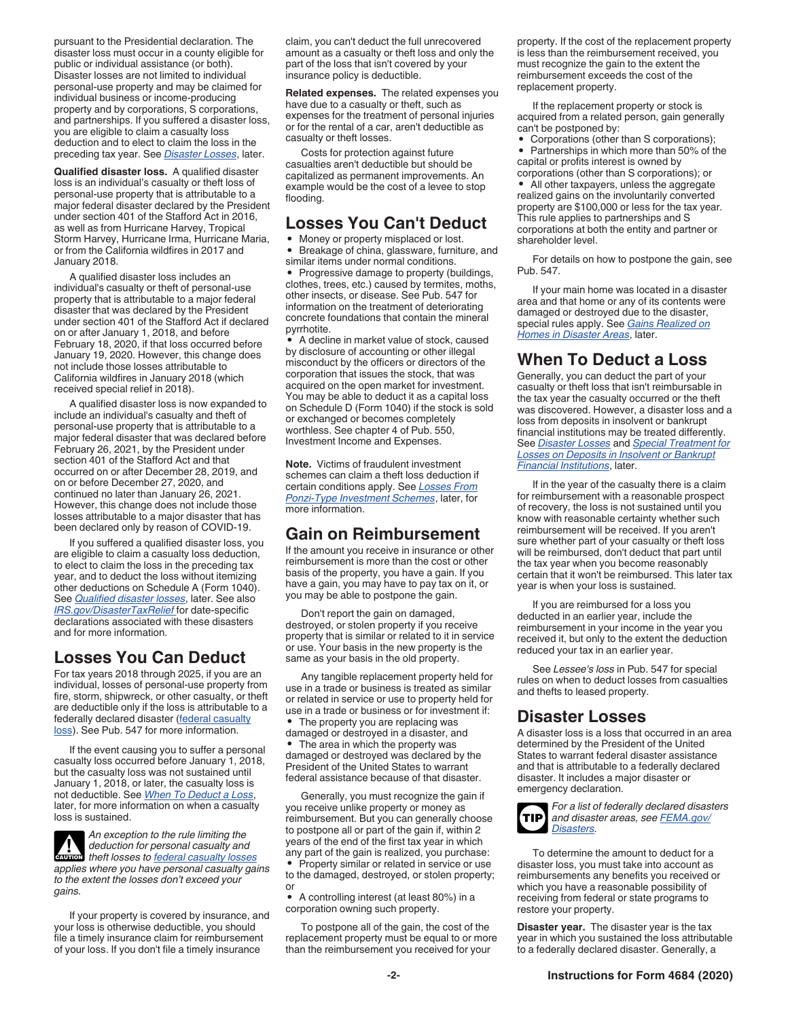<span id="page-1-0"></span>pursuant to the Presidential declaration. The disaster loss must occur in a county eligible for public or individual assistance (or both). Disaster losses are not limited to individual personal-use property and may be claimed for individual business or income-producing property and by corporations, S corporations, and partnerships. If you suffered a disaster loss, you are eligible to claim a casualty loss deduction and to elect to claim the loss in the preceding tax year. See *Disaster Losses*, later.

**Qualified disaster loss.** A qualified disaster loss is an individual's casualty or theft loss of personal-use property that is attributable to a major federal disaster declared by the President under section 401 of the Stafford Act in 2016, as well as from Hurricane Harvey, Tropical Storm Harvey, Hurricane Irma, Hurricane Maria, or from the California wildfires in 2017 and January 2018.

A qualified disaster loss includes an individual's casualty or theft of personal-use property that is attributable to a major federal disaster that was declared by the President under section 401 of the Stafford Act if declared on or after January 1, 2018, and before February 18, 2020, if that loss occurred before January 19, 2020. However, this change does not include those losses attributable to California wildfires in January 2018 (which received special relief in 2018).

A qualified disaster loss is now expanded to include an individual's casualty and theft of personal-use property that is attributable to a major federal disaster that was declared before February 26, 2021, by the President under section 401 of the Stafford Act and that occurred on or after December 28, 2019, and on or before December 27, 2020, and continued no later than January 26, 2021. However, this change does not include those losses attributable to a major disaster that has been declared only by reason of COVID-19.

If you suffered a qualified disaster loss, you are eligible to claim a casualty loss deduction, to elect to claim the loss in the preceding tax year, and to deduct the loss without itemizing other deductions on Schedule A (Form 1040). See *[Qualified disaster losses](#page-2-0)*, later. See also *[IRS.gov/DisasterTaxRelief](https://www.irs.gov/disastertaxrelief)* for date-specific declarations associated with these disasters and for more information.

# **Losses You Can Deduct**

For tax years 2018 through 2025, if you are an individual, losses of personal-use property from fire, storm, shipwreck, or other casualty, or theft are deductible only if the loss is attributable to a federally declared disaster [\(federal casualty](#page-0-0) [loss](#page-0-0)). See Pub. 547 for more information.

If the event causing you to suffer a personal casualty loss occurred before January 1, 2018, but the casualty loss was not sustained until January 1, 2018, or later, the casualty loss is not deductible. See *When To Deduct a Loss*, later, for more information on when a casualty loss is sustained.



*An exception to the rule limiting the deduction for personal casualty and theft losses to [federal casualty losses](#page-0-0)*  **CAUTION**

*applies where you have personal casualty gains to the extent the losses don't exceed your gains.*

If your property is covered by insurance, and your loss is otherwise deductible, you should file a timely insurance claim for reimbursement of your loss. If you don't file a timely insurance

claim, you can't deduct the full unrecovered amount as a casualty or theft loss and only the part of the loss that isn't covered by your insurance policy is deductible.

**Related expenses.** The related expenses you have due to a casualty or theft, such as expenses for the treatment of personal injuries or for the rental of a car, aren't deductible as casualty or theft losses.

Costs for protection against future casualties aren't deductible but should be capitalized as permanent improvements. An example would be the cost of a levee to stop flooding.

# **Losses You Can't Deduct**

• Money or property misplaced or lost.

• Breakage of china, glassware, furniture, and similar items under normal conditions.

• Progressive damage to property (buildings, clothes, trees, etc.) caused by termites, moths, other insects, or disease. See Pub. 547 for information on the treatment of deteriorating concrete foundations that contain the mineral pyrrhotite.

• A decline in market value of stock, caused by disclosure of accounting or other illegal misconduct by the officers or directors of the corporation that issues the stock, that was acquired on the open market for investment. You may be able to deduct it as a capital loss on Schedule D (Form 1040) if the stock is sold or exchanged or becomes completely worthless. See chapter 4 of Pub. 550, Investment Income and Expenses.

**Note.** Victims of fraudulent investment schemes can claim a theft loss deduction if certain conditions apply. See *[Losses From](#page-5-0) [Ponzi-Type Investment Schemes](#page-5-0)*, later, for more information.

# **Gain on Reimbursement**

If the amount you receive in insurance or other reimbursement is more than the cost or other basis of the property, you have a gain. If you have a gain, you may have to pay tax on it, or you may be able to postpone the gain.

Don't report the gain on damaged, destroyed, or stolen property if you receive property that is similar or related to it in service or use. Your basis in the new property is the same as your basis in the old property.

Any tangible replacement property held for use in a trade or business is treated as similar or related in service or use to property held for use in a trade or business or for investment if: The property you are replacing was damaged or destroyed in a disaster, and • The area in which the property was damaged or destroyed was declared by the President of the United States to warrant federal assistance because of that disaster.

Generally, you must recognize the gain if you receive unlike property or money as reimbursement. But you can generally choose to postpone all or part of the gain if, within 2 years of the end of the first tax year in which any part of the gain is realized, you purchase: • Property similar or related in service or use to the damaged, destroyed, or stolen property;

or • A controlling interest (at least 80%) in a corporation owning such property.

To postpone all of the gain, the cost of the replacement property must be equal to or more than the reimbursement you received for your

property. If the cost of the replacement property is less than the reimbursement received, you must recognize the gain to the extent the reimbursement exceeds the cost of the replacement property.

If the replacement property or stock is acquired from a related person, gain generally can't be postponed by:

• Corporations (other than S corporations); • Partnerships in which more than 50% of the capital or profits interest is owned by

corporations (other than S corporations); or • All other taxpayers, unless the aggregate realized gains on the involuntarily converted property are \$100,000 or less for the tax year. This rule applies to partnerships and S corporations at both the entity and partner or shareholder level.

For details on how to postpone the gain, see Pub. 547.

If your main home was located in a disaster area and that home or any of its contents were damaged or destroyed due to the disaster, special rules apply. See *[Gains Realized on](#page-2-0) [Homes in Disaster Areas](#page-2-0)*, later.

# **When To Deduct a Loss**

Generally, you can deduct the part of your casualty or theft loss that isn't reimbursable in the tax year the casualty occurred or the theft was discovered. However, a disaster loss and a loss from deposits in insolvent or bankrupt financial institutions may be treated differently. See *Disaster Losses* and *[Special Treatment for](#page-3-0) [Losses on Deposits in Insolvent or Bankrupt](#page-3-0)  [Financial Institutions](#page-3-0)*, later.

If in the year of the casualty there is a claim for reimbursement with a reasonable prospect of recovery, the loss is not sustained until you know with reasonable certainty whether such reimbursement will be received. If you aren't sure whether part of your casualty or theft loss will be reimbursed, don't deduct that part until the tax year when you become reasonably certain that it won't be reimbursed. This later tax year is when your loss is sustained.

If you are reimbursed for a loss you deducted in an earlier year, include the reimbursement in your income in the year you received it, but only to the extent the deduction reduced your tax in an earlier year.

See *Lessee's loss* in Pub. 547 for special rules on when to deduct losses from casualties and thefts to leased property.

# **Disaster Losses**

A disaster loss is a loss that occurred in an area determined by the President of the United States to warrant federal disaster assistance and that is attributable to a federally declared disaster. It includes a major disaster or emergency declaration.



To determine the amount to deduct for a disaster loss, you must take into account as reimbursements any benefits you received or which you have a reasonable possibility of receiving from federal or state programs to restore your property.

**Disaster year.** The disaster year is the tax year in which you sustained the loss attributable to a federally declared disaster. Generally, a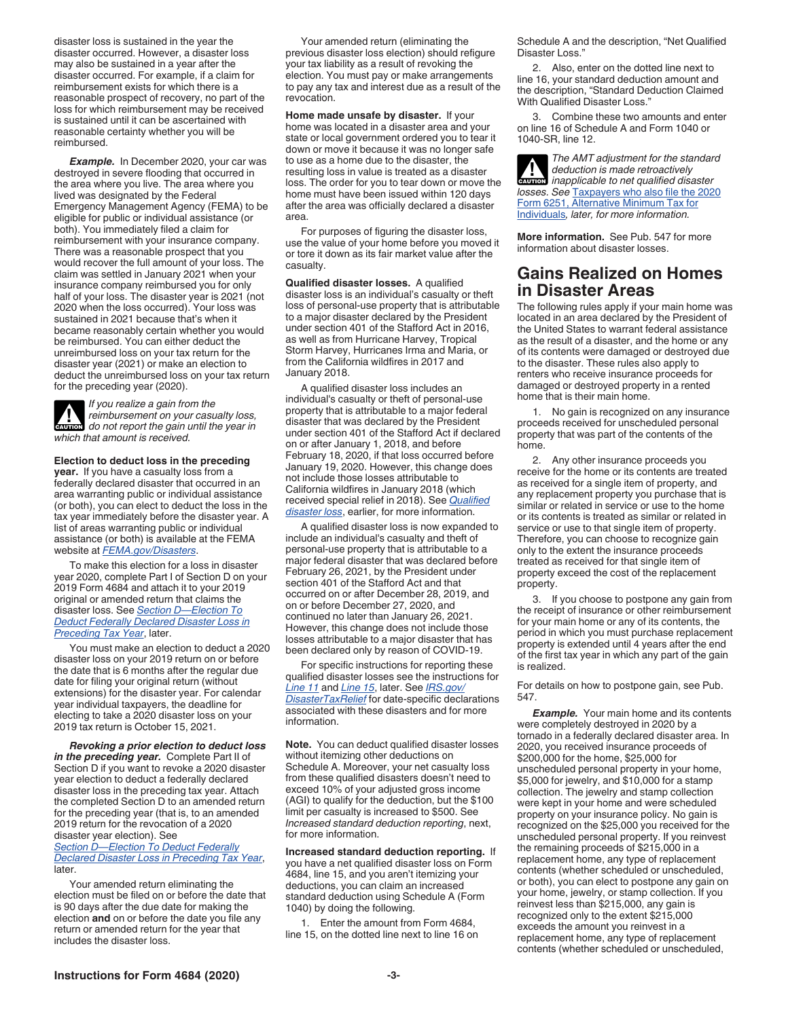<span id="page-2-0"></span>disaster loss is sustained in the year the disaster occurred. However, a disaster loss may also be sustained in a year after the disaster occurred. For example, if a claim for reimbursement exists for which there is a reasonable prospect of recovery, no part of the loss for which reimbursement may be received is sustained until it can be ascertained with reasonable certainty whether you will be reimbursed.

*Example.* In December 2020, your car was destroyed in severe flooding that occurred in the area where you live. The area where you lived was designated by the Federal Emergency Management Agency (FEMA) to be eligible for public or individual assistance (or both). You immediately filed a claim for reimbursement with your insurance company. There was a reasonable prospect that you would recover the full amount of your loss. The claim was settled in January 2021 when your insurance company reimbursed you for only half of your loss. The disaster year is 2021 (not 2020 when the loss occurred). Your loss was sustained in 2021 because that's when it became reasonably certain whether you would be reimbursed. You can either deduct the unreimbursed loss on your tax return for the disaster year (2021) or make an election to deduct the unreimbursed loss on your tax return for the preceding year (2020).

*If you realize a gain from the reimbursement on your casualty loss, do not report the gain until the year in which that amount is received.* **CAUTION !**

#### **Election to deduct loss in the preceding**

**year.** If you have a casualty loss from a federally declared disaster that occurred in an area warranting public or individual assistance (or both), you can elect to deduct the loss in the tax year immediately before the disaster year. A list of areas warranting public or individual assistance (or both) is available at the FEMA website at *[FEMA.gov/Disasters](http://www.fema.gov/disasters)*.

To make this election for a loss in disaster year 2020, complete Part I of Section D on your 2019 Form 4684 and attach it to your 2019 original or amended return that claims the disaster loss. See *[Section D—Election To](#page-7-0) [Deduct Federally Declared Disaster Loss in](#page-7-0) [Preceding Tax Year](#page-7-0)*, later.

You must make an election to deduct a 2020 disaster loss on your 2019 return on or before the date that is 6 months after the regular due date for filing your original return (without extensions) for the disaster year. For calendar year individual taxpayers, the deadline for electing to take a 2020 disaster loss on your 2019 tax return is October 15, 2021.

*Revoking a prior election to deduct loss in the preceding year.* Complete Part II of Section D if you want to revoke a 2020 disaster year election to deduct a federally declared disaster loss in the preceding tax year. Attach the completed Section D to an amended return for the preceding year (that is, to an amended 2019 return for the revocation of a 2020 disaster year election). See *[Section D—Election To Deduct Federally](#page-7-0) [Declared Disaster Loss in Preceding Tax Year](#page-7-0)*, later.

Your amended return eliminating the election must be filed on or before the date that is 90 days after the due date for making the election **and** on or before the date you file any return or amended return for the year that includes the disaster loss.

Your amended return (eliminating the previous disaster loss election) should refigure your tax liability as a result of revoking the election. You must pay or make arrangements to pay any tax and interest due as a result of the revocation.

**Home made unsafe by disaster.** If your home was located in a disaster area and your state or local government ordered you to tear it down or move it because it was no longer safe to use as a home due to the disaster, the resulting loss in value is treated as a disaster loss. The order for you to tear down or move the home must have been issued within 120 days after the area was officially declared a disaster area.

For purposes of figuring the disaster loss, use the value of your home before you moved it or tore it down as its fair market value after the casualty.

**Qualified disaster losses.** A qualified disaster loss is an individual's casualty or theft loss of personal-use property that is attributable to a major disaster declared by the President under section 401 of the Stafford Act in 2016, as well as from Hurricane Harvey, Tropical Storm Harvey, Hurricanes Irma and Maria, or from the California wildfires in 2017 and January 2018.

A qualified disaster loss includes an individual's casualty or theft of personal-use property that is attributable to a major federal disaster that was declared by the President under section 401 of the Stafford Act if declared on or after January 1, 2018, and before February 18, 2020, if that loss occurred before January 19, 2020. However, this change does not include those losses attributable to California wildfires in January 2018 (which received special relief in 2018). See *[Qualified](#page-1-0)  [disaster loss](#page-1-0)*, earlier, for more information.

A qualified disaster loss is now expanded to include an individual's casualty and theft of personal-use property that is attributable to a major federal disaster that was declared before February 26, 2021, by the President under section 401 of the Stafford Act and that occurred on or after December 28, 2019, and on or before December 27, 2020, and continued no later than January 26, 2021. However, this change does not include those losses attributable to a major disaster that has been declared only by reason of COVID-19.

For specific instructions for reporting these qualified disaster losses see the instructions for *[Line 11](#page-4-0)* and *[Line 15](#page-4-0)*, later. See *[IRS.gov/](https://www.irs.gov/disastertaxrelief) [DisasterTaxRelief](https://www.irs.gov/disastertaxrelief)* for date-specific declarations associated with these disasters and for more information.

**Note.** You can deduct qualified disaster losses without itemizing other deductions on Schedule A. Moreover, your net casualty loss from these qualified disasters doesn't need to exceed 10% of your adjusted gross income (AGI) to qualify for the deduction, but the \$100 limit per casualty is increased to \$500. See *Increased standard deduction reporting*, next, for more information.

**Increased standard deduction reporting.** If you have a net qualified disaster loss on Form 4684, line 15, and you aren't itemizing your deductions, you can claim an increased standard deduction using Schedule A (Form 1040) by doing the following.

1. Enter the amount from Form 4684, line 15, on the dotted line next to line 16 on Schedule A and the description, "Net Qualified Disaster Loss."

2. Also, enter on the dotted line next to line 16, your standard deduction amount and the description, "Standard Deduction Claimed With Qualified Disaster Loss."

3. Combine these two amounts and enter on line 16 of Schedule A and Form 1040 or 1040-SR, line 12.

*The AMT adjustment for the standard deduction is made retroactively inapplicable to net qualified disaster losses. See* [Taxpayers who also file the 2020](#page-5-0) [Form 6251, Alternative Minimum Tax for](#page-5-0)  [Individuals](#page-5-0)*, later, for more information.*  $\frac{1}{\text{Cautron}}$ 

**More information.** See Pub. 547 for more information about disaster losses.

# **Gains Realized on Homes in Disaster Areas**

The following rules apply if your main home was located in an area declared by the President of the United States to warrant federal assistance as the result of a disaster, and the home or any of its contents were damaged or destroyed due to the disaster. These rules also apply to renters who receive insurance proceeds for damaged or destroyed property in a rented home that is their main home.

1. No gain is recognized on any insurance proceeds received for unscheduled personal property that was part of the contents of the home.

Any other insurance proceeds you receive for the home or its contents are treated as received for a single item of property, and any replacement property you purchase that is similar or related in service or use to the home or its contents is treated as similar or related in service or use to that single item of property. Therefore, you can choose to recognize gain only to the extent the insurance proceeds treated as received for that single item of property exceed the cost of the replacement property.

3. If you choose to postpone any gain from the receipt of insurance or other reimbursement for your main home or any of its contents, the period in which you must purchase replacement property is extended until 4 years after the end of the first tax year in which any part of the gain is realized.

For details on how to postpone gain, see Pub. 547.

**Example.** Your main home and its contents were completely destroyed in 2020 by a tornado in a federally declared disaster area. In 2020, you received insurance proceeds of \$200,000 for the home, \$25,000 for unscheduled personal property in your home, \$5,000 for jewelry, and \$10,000 for a stamp collection. The jewelry and stamp collection were kept in your home and were scheduled property on your insurance policy. No gain is recognized on the \$25,000 you received for the unscheduled personal property. If you reinvest the remaining proceeds of \$215,000 in a replacement home, any type of replacement contents (whether scheduled or unscheduled, or both), you can elect to postpone any gain on your home, jewelry, or stamp collection. If you reinvest less than \$215,000, any gain is recognized only to the extent \$215,000 exceeds the amount you reinvest in a replacement home, any type of replacement contents (whether scheduled or unscheduled,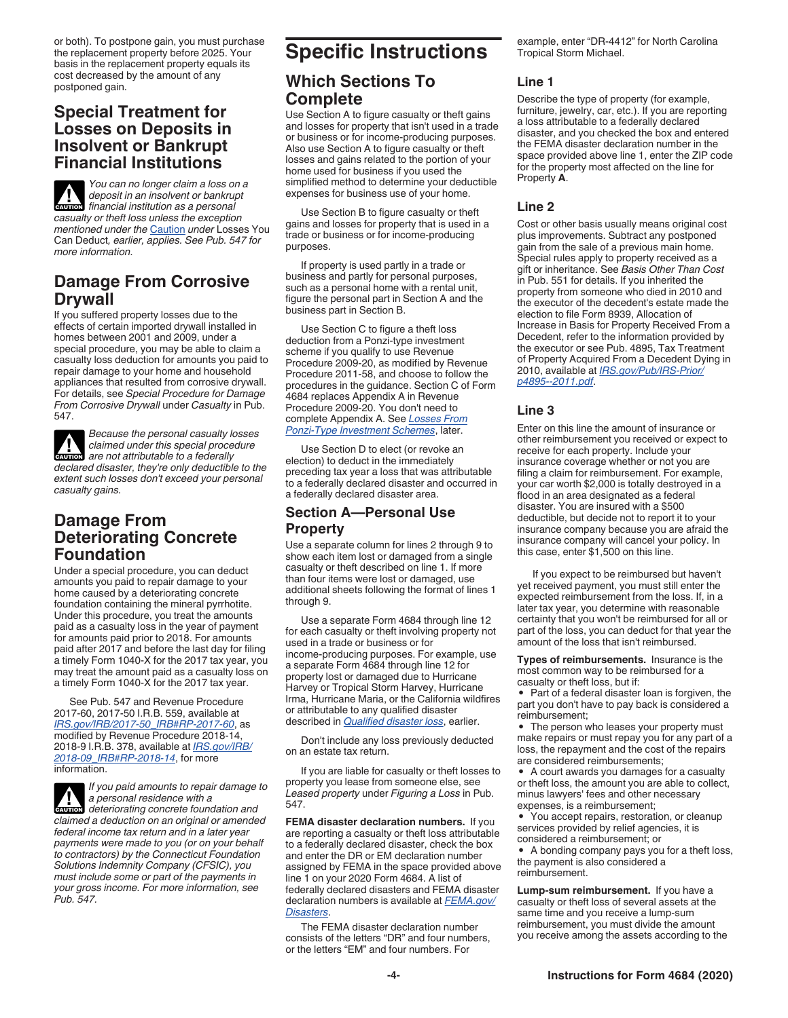<span id="page-3-0"></span>or both). To postpone gain, you must purchase the replacement property before 2025. Your basis in the replacement property equals its cost decreased by the amount of any postponed gain.

# **Special Treatment for Losses on Deposits in Insolvent or Bankrupt Financial Institutions**

*You can no longer claim a loss on a deposit in an insolvent or bankrupt financial institution as a personal casualty or theft loss unless the exception mentioned under the* [Caution](#page-1-0) *under* Losses You Can Deduct*, earlier, applies. See Pub. 547 for more information.* **CAUTION !**

# **Damage From Corrosive Drywall**

If you suffered property losses due to the effects of certain imported drywall installed in homes between 2001 and 2009, under a special procedure, you may be able to claim a casualty loss deduction for amounts you paid to repair damage to your home and household appliances that resulted from corrosive drywall. For details, see *Special Procedure for Damage From Corrosive Drywall* under *Casualty* in Pub. 547.



*Because the personal casualty losses claimed under this special procedure are not attributable to a federally declared disaster, they're only deductible to the extent such losses don't exceed your personal casualty gains.*

# **Damage From Deteriorating Concrete Foundation**

Under a special procedure, you can deduct amounts you paid to repair damage to your home caused by a deteriorating concrete foundation containing the mineral pyrrhotite. Under this procedure, you treat the amounts paid as a casualty loss in the year of payment for amounts paid prior to 2018. For amounts paid after 2017 and before the last day for filing a timely Form 1040-X for the 2017 tax year, you may treat the amount paid as a casualty loss on a timely Form 1040-X for the 2017 tax year.

See Pub. 547 and Revenue Procedure 2017-60, 2017-50 I.R.B. 559, available at *[IRS.gov/IRB/2017-50\\_IRB#RP-2017-60](https://www.irs.gov/irb/2017-50_irb#rp-2017-60)*, as modified by Revenue Procedure 2018-14, 2018-9 I.R.B. 378, available at *[IRS.gov/IRB/](https://www.irs.gov/irb/2018-09_irb#rp-2018-14)  [2018-09\\_IRB#RP-2018-14](https://www.irs.gov/irb/2018-09_irb#rp-2018-14)*, for more information.

*If you paid amounts to repair damage to a personal residence with a deteriorating concrete foundation and claimed a deduction on an original or amended federal income tax return and in a later year payments were made to you (or on your behalf to contractors) by the Connecticut Foundation Solutions Indemnity Company (CFSIC), you must include some or part of the payments in your gross income. For more information, see Pub. 547.* **CAUTION !**

# **Specific Instructions**

# **Which Sections To Complete**

Use Section A to figure casualty or theft gains and losses for property that isn't used in a trade or business or for income-producing purposes. Also use Section A to figure casualty or theft losses and gains related to the portion of your home used for business if you used the simplified method to determine your deductible expenses for business use of your home.

Use Section B to figure casualty or theft gains and losses for property that is used in a trade or business or for income-producing purposes.

If property is used partly in a trade or business and partly for personal purposes, such as a personal home with a rental unit, figure the personal part in Section A and the business part in Section B.

Use Section C to figure a theft loss deduction from a Ponzi-type investment scheme if you qualify to use Revenue Procedure 2009-20, as modified by Revenue Procedure 2011-58, and choose to follow the procedures in the guidance. Section C of Form 4684 replaces Appendix A in Revenue Procedure 2009-20. You don't need to complete Appendix A. See *[Losses From](#page-5-0) [Ponzi-Type Investment Schemes](#page-5-0)*, later.

Use Section D to elect (or revoke an election) to deduct in the immediately preceding tax year a loss that was attributable to a federally declared disaster and occurred in a federally declared disaster area.

### **Section A—Personal Use Property**

Use a separate column for lines 2 through 9 to show each item lost or damaged from a single casualty or theft described on line 1. If more than four items were lost or damaged, use additional sheets following the format of lines 1 through 9.

Use a separate Form 4684 through line 12 for each casualty or theft involving property not used in a trade or business or for income-producing purposes. For example, use a separate Form 4684 through line 12 for property lost or damaged due to Hurricane Harvey or Tropical Storm Harvey, Hurricane Irma, Hurricane Maria, or the California wildfires or attributable to any qualified disaster described in *[Qualified disaster loss](#page-1-0)*, earlier.

Don't include any loss previously deducted on an estate tax return.

If you are liable for casualty or theft losses to property you lease from someone else, see *Leased property* under *Figuring a Loss* in Pub. 547.

**FEMA disaster declaration numbers.** If you are reporting a casualty or theft loss attributable to a federally declared disaster, check the box and enter the DR or EM declaration number assigned by FEMA in the space provided above line 1 on your 2020 Form 4684. A list of federally declared disasters and FEMA disaster declaration numbers is available at *[FEMA.gov/](https://www.fema.gov/disasters) [Disasters](https://www.fema.gov/disasters)*.

The FEMA disaster declaration number consists of the letters "DR" and four numbers, or the letters "EM" and four numbers. For

example, enter "DR-4412" for North Carolina Tropical Storm Michael.

### **Line 1**

Describe the type of property (for example, furniture, jewelry, car, etc.). If you are reporting a loss attributable to a federally declared disaster, and you checked the box and entered the FEMA disaster declaration number in the space provided above line 1, enter the ZIP code for the property most affected on the line for Property **A**.

#### **Line 2**

Cost or other basis usually means original cost plus improvements. Subtract any postponed gain from the sale of a previous main home. Special rules apply to property received as a gift or inheritance. See *Basis Other Than Cost*  in Pub. 551 for details. If you inherited the property from someone who died in 2010 and the executor of the decedent's estate made the election to file Form 8939, Allocation of Increase in Basis for Property Received From a Decedent, refer to the information provided by the executor or see Pub. 4895, Tax Treatment of Property Acquired From a Decedent Dying in 2010, available at *[IRS.gov/Pub/IRS-Prior/](https://www.irs.gov/pub/irs-prior/p4895--2011.pdf) [p4895--2011.pdf](https://www.irs.gov/pub/irs-prior/p4895--2011.pdf)*.

### **Line 3**

Enter on this line the amount of insurance or other reimbursement you received or expect to receive for each property. Include your insurance coverage whether or not you are filing a claim for reimbursement. For example, your car worth \$2,000 is totally destroyed in a flood in an area designated as a federal disaster. You are insured with a \$500 deductible, but decide not to report it to your insurance company because you are afraid the insurance company will cancel your policy. In this case, enter \$1,500 on this line.

If you expect to be reimbursed but haven't yet received payment, you must still enter the expected reimbursement from the loss. If, in a later tax year, you determine with reasonable certainty that you won't be reimbursed for all or part of the loss, you can deduct for that year the amount of the loss that isn't reimbursed.

**Types of reimbursements.** Insurance is the most common way to be reimbursed for a casualty or theft loss, but if:

Part of a federal disaster loan is forgiven, the part you don't have to pay back is considered a reimbursement;

The person who leases your property must make repairs or must repay you for any part of a loss, the repayment and the cost of the repairs are considered reimbursements;

• A court awards you damages for a casualty or theft loss, the amount you are able to collect, minus lawyers' fees and other necessary expenses, is a reimbursement;

• You accept repairs, restoration, or cleanup services provided by relief agencies, it is considered a reimbursement; or

• A bonding company pays you for a theft loss, the payment is also considered a reimbursement.

**Lump-sum reimbursement.** If you have a casualty or theft loss of several assets at the same time and you receive a lump-sum reimbursement, you must divide the amount you receive among the assets according to the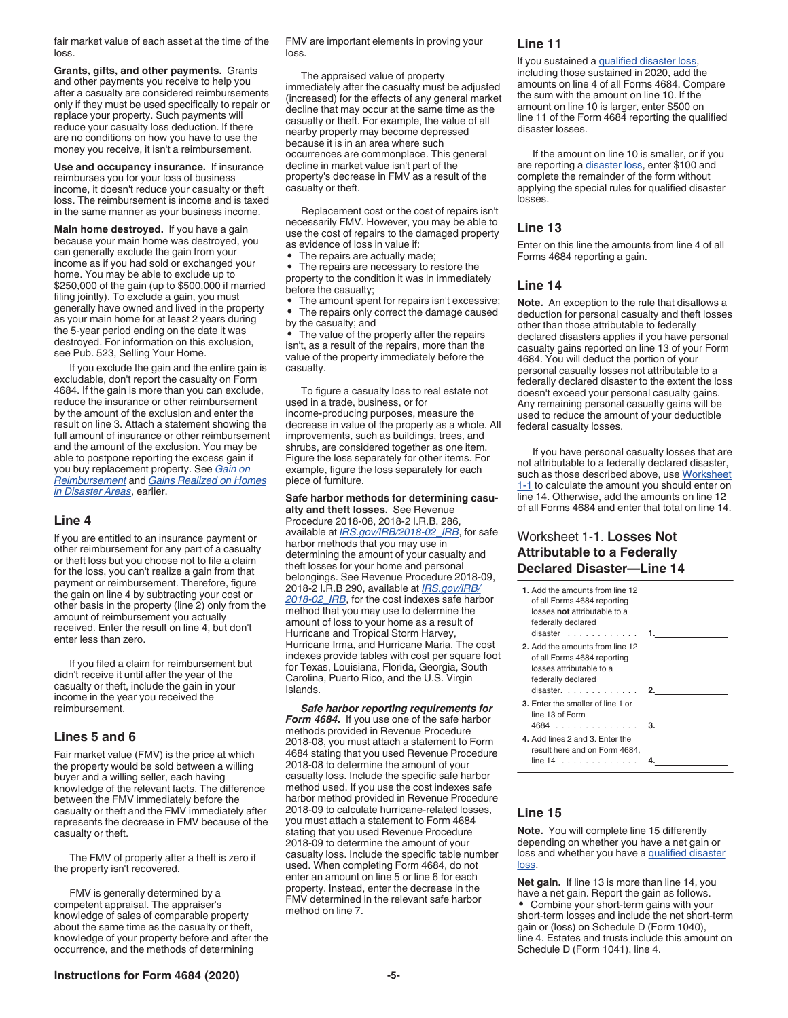<span id="page-4-0"></span>fair market value of each asset at the time of the loss.

**Grants, gifts, and other payments.** Grants and other payments you receive to help you after a casualty are considered reimbursements only if they must be used specifically to repair or replace your property. Such payments will reduce your casualty loss deduction. If there are no conditions on how you have to use the money you receive, it isn't a reimbursement.

**Use and occupancy insurance.** If insurance reimburses you for your loss of business income, it doesn't reduce your casualty or theft loss. The reimbursement is income and is taxed in the same manner as your business income.

**Main home destroyed.** If you have a gain because your main home was destroyed, you can generally exclude the gain from your income as if you had sold or exchanged your home. You may be able to exclude up to \$250,000 of the gain (up to \$500,000 if married filing jointly). To exclude a gain, you must generally have owned and lived in the property as your main home for at least 2 years during the 5-year period ending on the date it was destroyed. For information on this exclusion, see Pub. 523, Selling Your Home.

If you exclude the gain and the entire gain is excludable, don't report the casualty on Form 4684. If the gain is more than you can exclude, reduce the insurance or other reimbursement by the amount of the exclusion and enter the result on line 3. Attach a statement showing the full amount of insurance or other reimbursement and the amount of the exclusion. You may be able to postpone reporting the excess gain if you buy replacement property. See *[Gain on](#page-1-0)  [Reimbursement](#page-1-0)* and *[Gains Realized on Homes](#page-2-0) [in Disaster Areas](#page-2-0)*, earlier.

#### **Line 4**

If you are entitled to an insurance payment or other reimbursement for any part of a casualty or theft loss but you choose not to file a claim for the loss, you can't realize a gain from that payment or reimbursement. Therefore, figure the gain on line 4 by subtracting your cost or other basis in the property (line 2) only from the amount of reimbursement you actually received. Enter the result on line 4, but don't enter less than zero.

If you filed a claim for reimbursement but didn't receive it until after the year of the casualty or theft, include the gain in your income in the year you received the reimbursement.

#### **Lines 5 and 6**

Fair market value (FMV) is the price at which the property would be sold between a willing buyer and a willing seller, each having knowledge of the relevant facts. The difference between the FMV immediately before the casualty or theft and the FMV immediately after represents the decrease in FMV because of the casualty or theft.

The FMV of property after a theft is zero if the property isn't recovered.

FMV is generally determined by a competent appraisal. The appraiser's knowledge of sales of comparable property about the same time as the casualty or theft, knowledge of your property before and after the occurrence, and the methods of determining

FMV are important elements in proving your loss.

The appraised value of property immediately after the casualty must be adjusted (increased) for the effects of any general market decline that may occur at the same time as the casualty or theft. For example, the value of all nearby property may become depressed because it is in an area where such occurrences are commonplace. This general decline in market value isn't part of the property's decrease in FMV as a result of the casualty or theft.

Replacement cost or the cost of repairs isn't necessarily FMV. However, you may be able to use the cost of repairs to the damaged property as evidence of loss in value if:

• The repairs are actually made;

The repairs are necessary to restore the property to the condition it was in immediately before the casualty;

• The amount spent for repairs isn't excessive; The repairs only correct the damage caused by the casualty; and

• The value of the property after the repairs isn't, as a result of the repairs, more than the value of the property immediately before the casualty.

To figure a casualty loss to real estate not used in a trade, business, or for income-producing purposes, measure the decrease in value of the property as a whole. All improvements, such as buildings, trees, and shrubs, are considered together as one item. Figure the loss separately for other items. For example, figure the loss separately for each piece of furniture.

**Safe harbor methods for determining casualty and theft losses.** See Revenue Procedure 2018-08, 2018-2 I.R.B. 286, available at *[IRS.gov/IRB/2018-02\\_IRB](https://www.irs.gov/irb/2018-02_irb#rp-2018-08)*, for safe harbor methods that you may use in determining the amount of your casualty and theft losses for your home and personal belongings. See Revenue Procedure 2018-09, 2018-2 I.R.B 290, available at *[IRS.gov/IRB/](https://www.irs.gov/irb/2018-02_irb#rp-2018-09) [2018-02\\_IRB](https://www.irs.gov/irb/2018-02_irb#rp-2018-09)*, for the cost indexes safe harbor method that you may use to determine the amount of loss to your home as a result of Hurricane and Tropical Storm Harvey, Hurricane Irma, and Hurricane Maria. The cost indexes provide tables with cost per square foot for Texas, Louisiana, Florida, Georgia, South Carolina, Puerto Rico, and the U.S. Virgin Islands.

*Safe harbor reporting requirements for Form 4684.* If you use one of the safe harbor methods provided in Revenue Procedure 2018-08, you must attach a statement to Form 4684 stating that you used Revenue Procedure 2018-08 to determine the amount of your casualty loss. Include the specific safe harbor method used. If you use the cost indexes safe harbor method provided in Revenue Procedure 2018-09 to calculate hurricane-related losses, you must attach a statement to Form 4684 stating that you used Revenue Procedure 2018-09 to determine the amount of your casualty loss. Include the specific table number used. When completing Form 4684, do not enter an amount on line 5 or line 6 for each property. Instead, enter the decrease in the FMV determined in the relevant safe harbor method on line 7.

#### **Line 11**

If you sustained a [qualified disaster loss](#page-2-0) including those sustained in 2020, add the amounts on line 4 of all Forms 4684. Compare the sum with the amount on line 10. If the amount on line 10 is larger, enter \$500 on line 11 of the Form 4684 reporting the qualified disaster losses.

If the amount on line 10 is smaller, or if you are reporting a [disaster loss](#page-1-0), enter \$100 and complete the remainder of the form without applying the special rules for qualified disaster losses.

#### **Line 13**

Enter on this line the amounts from line 4 of all Forms 4684 reporting a gain.

#### **Line 14**

**Note.** An exception to the rule that disallows a deduction for personal casualty and theft losses other than those attributable to federally declared disasters applies if you have personal casualty gains reported on line 13 of your Form 4684. You will deduct the portion of your personal casualty losses not attributable to a federally declared disaster to the extent the loss doesn't exceed your personal casualty gains. Any remaining personal casualty gains will be used to reduce the amount of your deductible federal casualty losses.

If you have personal casualty losses that are not attributable to a federally declared disaster, such as those described above, use Worksheet 1-1 to calculate the amount you should enter on line 14. Otherwise, add the amounts on line 12 of all Forms 4684 and enter that total on line 14.

### Worksheet 1-1. **Losses Not Attributable to a Federally Declared Disaster—Line 14**

| 1. Add the amounts from line 12<br>of all Forms 4684 reporting<br>losses not attributable to a<br>federally declared<br>disaster $\ldots$ , $\ldots$ , $\ldots$ |  |
|-----------------------------------------------------------------------------------------------------------------------------------------------------------------|--|
| 2. Add the amounts from line 12<br>of all Forms 4684 reporting<br>losses attributable to a<br>federally declared<br>disaster. $\ldots$                          |  |
| 3. Enter the smaller of line 1 or<br>line 13 of Form<br>4684                                                                                                    |  |
| 4. Add lines 2 and 3 Enter the<br>result here and on Form 4684.<br>line 14 ..........                                                                           |  |

#### **Line 15**

**Note.** You will complete line 15 differently depending on whether you have a net gain or loss and whether you have a qualified disaster [loss](#page-2-0).

**Net gain.** If line 13 is more than line 14, you have a net gain. Report the gain as follows. • Combine your short-term gains with your short-term losses and include the net short-term gain or (loss) on Schedule D (Form 1040), line 4. Estates and trusts include this amount on Schedule D (Form 1041), line 4.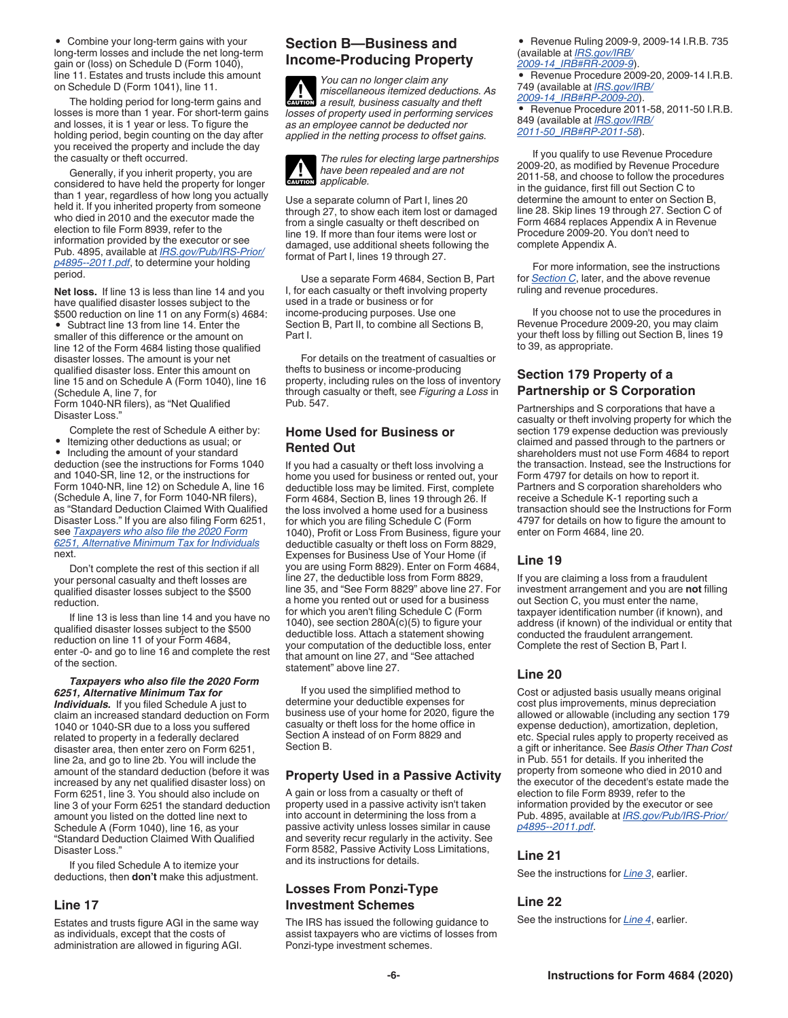<span id="page-5-0"></span>• Combine your long-term gains with your long-term losses and include the net long-term gain or (loss) on Schedule D (Form 1040), line 11. Estates and trusts include this amount on Schedule D (Form 1041), line 11.

The holding period for long-term gains and losses is more than 1 year. For short-term gains and losses, it is 1 year or less. To figure the holding period, begin counting on the day after you received the property and include the day the casualty or theft occurred.

Generally, if you inherit property, you are considered to have held the property for longer than 1 year, regardless of how long you actually held it. If you inherited property from someone who died in 2010 and the executor made the election to file Form 8939, refer to the information provided by the executor or see Pub. 4895, available at *[IRS.gov/Pub/IRS-Prior/](https://www.irs.gov/pub/irs-prior/p4895--2011.pdf) [p4895--2011.pdf](https://www.irs.gov/pub/irs-prior/p4895--2011.pdf)*, to determine your holding period.

**Net loss.** If line 13 is less than line 14 and you have qualified disaster losses subject to the \$500 reduction on line 11 on any Form(s) 4684: • Subtract line 13 from line 14. Enter the smaller of this difference or the amount on line 12 of the Form 4684 listing those qualified disaster losses. The amount is your net qualified disaster loss. Enter this amount on line 15 and on Schedule A (Form 1040), line 16 (Schedule A, line 7, for

Form 1040-NR filers), as "Net Qualified Disaster Loss."

Complete the rest of Schedule A either by: • Itemizing other deductions as usual; or

• Including the amount of your standard deduction (see the instructions for Forms 1040 and 1040-SR, line 12, or the instructions for Form 1040-NR, line 12) on Schedule A, line 16 (Schedule A, line 7, for Form 1040-NR filers), as "Standard Deduction Claimed With Qualified Disaster Loss." If you are also filing Form 6251, see *Taxpayers who also file the 2020 Form 6251, Alternative Minimum Tax for Individuals*  next.

Don't complete the rest of this section if all your personal casualty and theft losses are qualified disaster losses subject to the \$500 reduction.

If line 13 is less than line 14 and you have no qualified disaster losses subject to the \$500 reduction on line 11 of your Form 4684, enter -0- and go to line 16 and complete the rest of the section.

*Taxpayers who also file the 2020 Form 6251, Alternative Minimum Tax for Individuals.* If you filed Schedule A just to claim an increased standard deduction on Form 1040 or 1040-SR due to a loss you suffered related to property in a federally declared disaster area, then enter zero on Form 6251, line 2a, and go to line 2b. You will include the amount of the standard deduction (before it was increased by any net qualified disaster loss) on Form 6251, line 3. You should also include on line 3 of your Form 6251 the standard deduction amount you listed on the dotted line next to Schedule A (Form 1040), line 16, as your "Standard Deduction Claimed With Qualified Disaster Loss."

If you filed Schedule A to itemize your deductions, then **don't** make this adjustment.

#### **Line 17**

Estates and trusts figure AGI in the same way as individuals, except that the costs of administration are allowed in figuring AGI.

# **Section B—Business and Income-Producing Property**

*You can no longer claim any miscellaneous itemized deductions. As a result, business casualty and theft losses of property used in performing services as an employee cannot be deducted nor applied in the netting process to offset gains.* **CAUTION !**



Use a separate column of Part I, lines 20 through 27, to show each item lost or damaged from a single casualty or theft described on line 19. If more than four items were lost or damaged, use additional sheets following the format of Part I, lines 19 through 27.

Use a separate Form 4684, Section B, Part I, for each casualty or theft involving property used in a trade or business or for income-producing purposes. Use one Section B, Part II, to combine all Sections B, Part I.

For details on the treatment of casualties or thefts to business or income-producing property, including rules on the loss of inventory through casualty or theft, see *Figuring a Loss* in Pub. 547.

### **Home Used for Business or Rented Out**

If you had a casualty or theft loss involving a home you used for business or rented out, your deductible loss may be limited. First, complete Form 4684, Section B, lines 19 through 26. If the loss involved a home used for a business for which you are filing Schedule C (Form 1040), Profit or Loss From Business, figure your deductible casualty or theft loss on Form 8829, Expenses for Business Use of Your Home (if you are using Form 8829). Enter on Form 4684, line 27, the deductible loss from Form 8829, line 35, and "See Form 8829" above line 27. For a home you rented out or used for a business for which you aren't filing Schedule C (Form 1040), see section 280A(c)(5) to figure your deductible loss. Attach a statement showing your computation of the deductible loss, enter that amount on line 27, and "See attached statement" above line 27.

If you used the simplified method to determine your deductible expenses for business use of your home for 2020, figure the casualty or theft loss for the home office in Section A instead of on Form 8829 and Section B.

#### **Property Used in a Passive Activity**

A gain or loss from a casualty or theft of property used in a passive activity isn't taken into account in determining the loss from a passive activity unless losses similar in cause and severity recur regularly in the activity. See Form 8582, Passive Activity Loss Limitations, and its instructions for details.

#### **Losses From Ponzi-Type Investment Schemes**

The IRS has issued the following guidance to assist taxpayers who are victims of losses from Ponzi-type investment schemes.

• Revenue Ruling 2009-9, 2009-14 I.R.B. 735 (available at *[IRS.gov/IRB/](https://www.irs.gov/irb/2009-14_irb#rr-2009-9) [2009-14\\_IRB#RR-2009-9](https://www.irs.gov/irb/2009-14_irb#rr-2009-9)*).

• Revenue Procedure 2009-20, 2009-14 I.R.B. 749 (available at *[IRS.gov/IRB/](https://www.irs.gov/irb/2009-14_irb#rp-2009-20) [2009-14\\_IRB#RP-2009-20](https://www.irs.gov/irb/2009-14_irb#rp-2009-20)*).

• Revenue Procedure 2011-58, 2011-50 I.R.B. 849 (available at *[IRS.gov/IRB/](https://www.irs.gov/irb/2011-50_irb#rp-2011-58) [2011-50\\_IRB#RP-2011-58](https://www.irs.gov/irb/2011-50_irb#rp-2011-58)*).

If you qualify to use Revenue Procedure 2009-20, as modified by Revenue Procedure 2011-58, and choose to follow the procedures in the guidance, first fill out Section C to determine the amount to enter on Section B, line 28. Skip lines 19 through 27. Section C of Form 4684 replaces Appendix A in Revenue Procedure 2009-20. You don't need to complete Appendix A.

For more information, see the instructions for *[Section C](#page-6-0)*, later, and the above revenue ruling and revenue procedures.

If you choose not to use the procedures in Revenue Procedure 2009-20, you may claim your theft loss by filling out Section B, lines 19 to 39, as appropriate.

### **Section 179 Property of a Partnership or S Corporation**

Partnerships and S corporations that have a casualty or theft involving property for which the section 179 expense deduction was previously claimed and passed through to the partners or shareholders must not use Form 4684 to report the transaction. Instead, see the Instructions for Form 4797 for details on how to report it. Partners and S corporation shareholders who receive a Schedule K-1 reporting such a transaction should see the Instructions for Form 4797 for details on how to figure the amount to enter on Form 4684, line 20.

#### **Line 19**

If you are claiming a loss from a fraudulent investment arrangement and you are **not** filling out Section C, you must enter the name, taxpayer identification number (if known), and address (if known) of the individual or entity that conducted the fraudulent arrangement. Complete the rest of Section B, Part I.

#### **Line 20**

Cost or adjusted basis usually means original cost plus improvements, minus depreciation allowed or allowable (including any section 179 expense deduction), amortization, depletion, etc. Special rules apply to property received as a gift or inheritance. See *Basis Other Than Cost*  in Pub. 551 for details. If you inherited the property from someone who died in 2010 and the executor of the decedent's estate made the election to file Form 8939, refer to the information provided by the executor or see Pub. 4895, available at *[IRS.gov/Pub/IRS-Prior/](https://www.irs.gov/pub/irs-prior/p4895--2011.pdf) [p4895--2011.pdf](https://www.irs.gov/pub/irs-prior/p4895--2011.pdf)*.

#### **Line 21**

See the instructions for *[Line 3](#page-3-0)*, earlier.

### **Line 22**

See the instructions for *[Line 4](#page-4-0)*, earlier.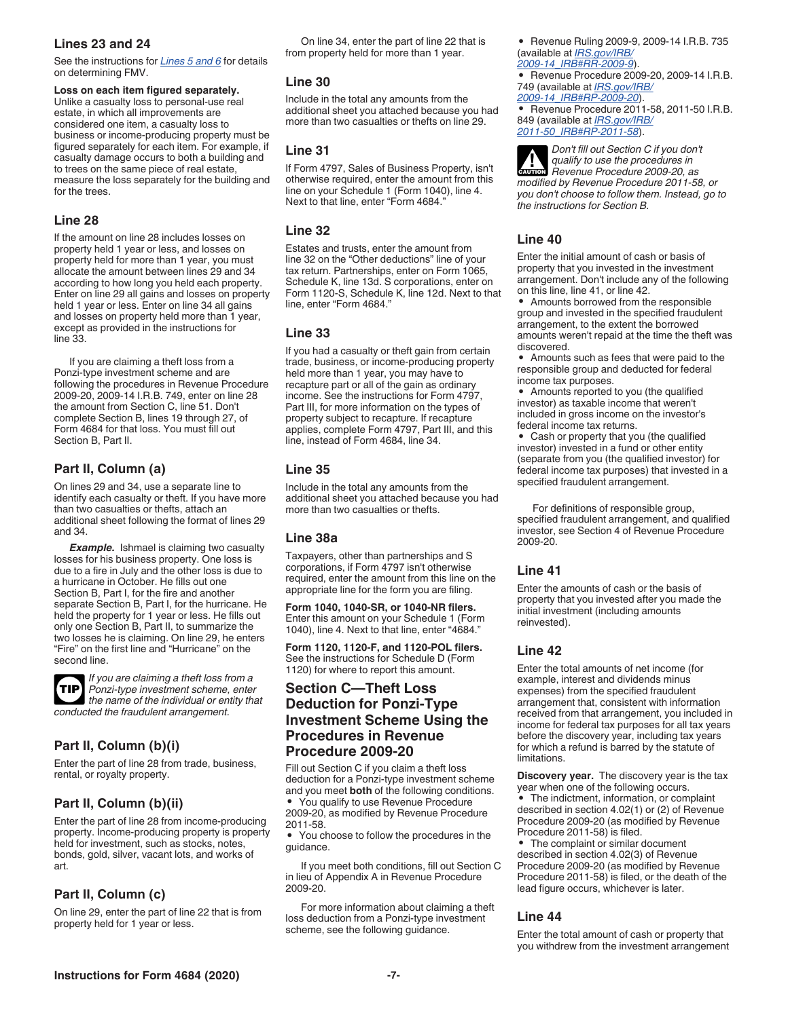# <span id="page-6-0"></span>**Lines 23 and 24**

See the instructions for *[Lines 5 and 6](#page-4-0)* for details on determining FMV.

**Loss on each item figured separately.**  Unlike a casualty loss to personal-use real estate, in which all improvements are considered one item, a casualty loss to business or income-producing property must be figured separately for each item. For example, if casualty damage occurs to both a building and to trees on the same piece of real estate, measure the loss separately for the building and

### **Line 28**

for the trees.

If the amount on line 28 includes losses on property held 1 year or less, and losses on property held for more than 1 year, you must allocate the amount between lines 29 and 34 according to how long you held each property. Enter on line 29 all gains and losses on property held 1 year or less. Enter on line 34 all gains and losses on property held more than 1 year, except as provided in the instructions for line 33.

If you are claiming a theft loss from a Ponzi-type investment scheme and are following the procedures in Revenue Procedure 2009-20, 2009-14 I.R.B. 749, enter on line 28 the amount from Section C, line 51. Don't complete Section B, lines 19 through 27, of Form 4684 for that loss. You must fill out Section B, Part II.

# **Part II, Column (a)**

On lines 29 and 34, use a separate line to identify each casualty or theft. If you have more than two casualties or thefts, attach an additional sheet following the format of lines 29 and 34.

**Example.** Ishmael is claiming two casualty losses for his business property. One loss is due to a fire in July and the other loss is due to a hurricane in October. He fills out one Section B, Part I, for the fire and another separate Section B, Part I, for the hurricane. He held the property for 1 year or less. He fills out only one Section B, Part II, to summarize the two losses he is claiming. On line 29, he enters "Fire" on the first line and "Hurricane" on the second line.

*If you are claiming a theft loss from a Ponzi-type investment scheme, enter the name of the individual or entity that conducted the fraudulent arrangement.*

# **Part II, Column (b)(i)**

Enter the part of line 28 from trade, business, rental, or royalty property.

# **Part II, Column (b)(ii)**

Enter the part of line 28 from income-producing property. Income-producing property is property held for investment, such as stocks, notes, bonds, gold, silver, vacant lots, and works of art.

# **Part II, Column (c)**

On line 29, enter the part of line 22 that is from property held for 1 year or less.

On line 34, enter the part of line 22 that is from property held for more than 1 year.

# **Line 30**

Include in the total any amounts from the additional sheet you attached because you had more than two casualties or thefts on line 29.

# **Line 31**

If Form 4797, Sales of Business Property, isn't otherwise required, enter the amount from this line on your Schedule 1 (Form 1040), line 4. Next to that line, enter "Form 4684."

### **Line 32**

Estates and trusts, enter the amount from line 32 on the "Other deductions" line of your tax return. Partnerships, enter on Form 1065, Schedule K, line 13d. S corporations, enter on Form 1120-S, Schedule K, line 12d. Next to that line, enter "Form 4684."

### **Line 33**

If you had a casualty or theft gain from certain trade, business, or income-producing property held more than 1 year, you may have to recapture part or all of the gain as ordinary income. See the instructions for Form 4797, Part III, for more information on the types of property subject to recapture. If recapture applies, complete Form 4797, Part III, and this line, instead of Form 4684, line 34.

# **Line 35**

Include in the total any amounts from the additional sheet you attached because you had more than two casualties or thefts.

# **Line 38a**

Taxpayers, other than partnerships and S corporations, if Form 4797 isn't otherwise required, enter the amount from this line on the appropriate line for the form you are filing.

**Form 1040, 1040-SR, or 1040-NR filers.**  Enter this amount on your Schedule 1 (Form 1040), line 4. Next to that line, enter "4684."

**Form 1120, 1120-F, and 1120-POL filers.**  See the instructions for Schedule D (Form 1120) for where to report this amount.

# **Section C—Theft Loss Deduction for Ponzi-Type Investment Scheme Using the Procedures in Revenue Procedure 2009-20**

Fill out Section C if you claim a theft loss deduction for a Ponzi-type investment scheme and you meet **both** of the following conditions. • You qualify to use Revenue Procedure 2009-20, as modified by Revenue Procedure

2011-58. • You choose to follow the procedures in the

guidance.

If you meet both conditions, fill out Section C in lieu of Appendix A in Revenue Procedure 2009-20.

For more information about claiming a theft loss deduction from a Ponzi-type investment scheme, see the following guidance.

• Revenue Ruling 2009-9, 2009-14 I.R.B. 735 (available at *[IRS.gov/IRB/](https://www.irs.gov/irb/2009-14_irb#rr-2009-9) [2009-14\\_IRB#RR-2009-9](https://www.irs.gov/irb/2009-14_irb#rr-2009-9)*).

• Revenue Procedure 2009-20, 2009-14 I.R.B. 749 (available at *[IRS.gov/IRB/](https://www.irs.gov/irb/2009-14_irb#rp-2009-20) [2009-14\\_IRB#RP-2009-20](https://www.irs.gov/irb/2009-14_irb#rp-2009-20)*).

• Revenue Procedure 2011-58, 2011-50 I.R.B. 849 (available at *[IRS.gov/IRB/](https://www.irs.gov/irb/2011-50_irb#rp-2011-58) [2011-50\\_IRB#RP-2011-58](https://www.irs.gov/irb/2011-50_irb#rp-2011-58)*).

*Don't fill out Section C if you don't qualify to use the procedures in Revenue Procedure 2009-20, as modified by Revenue Procedure 2011-58, or you don't choose to follow them. Instead, go to the instructions for Section B.* **CAUTION !**

### **Line 40**

Enter the initial amount of cash or basis of property that you invested in the investment arrangement. Don't include any of the following on this line, line 41, or line 42.

• Amounts borrowed from the responsible group and invested in the specified fraudulent arrangement, to the extent the borrowed amounts weren't repaid at the time the theft was discovered.

• Amounts such as fees that were paid to the responsible group and deducted for federal income tax purposes.

• Amounts reported to you (the qualified investor) as taxable income that weren't included in gross income on the investor's federal income tax returns.

• Cash or property that you (the qualified investor) invested in a fund or other entity (separate from you (the qualified investor) for federal income tax purposes) that invested in a specified fraudulent arrangement.

For definitions of responsible group, specified fraudulent arrangement, and qualified investor, see Section 4 of Revenue Procedure 2009-20.

# **Line 41**

Enter the amounts of cash or the basis of property that you invested after you made the initial investment (including amounts reinvested).

### **Line 42**

Enter the total amounts of net income (for example, interest and dividends minus expenses) from the specified fraudulent arrangement that, consistent with information received from that arrangement, you included in income for federal tax purposes for all tax years before the discovery year, including tax years for which a refund is barred by the statute of limitations.

**Discovery year.** The discovery year is the tax year when one of the following occurs.

• The indictment, information, or complaint described in section 4.02(1) or (2) of Revenue Procedure 2009-20 (as modified by Revenue Procedure 2011-58) is filed.

• The complaint or similar document described in section 4.02(3) of Revenue Procedure 2009-20 (as modified by Revenue Procedure 2011-58) is filed, or the death of the lead figure occurs, whichever is later.

### **Line 44**

Enter the total amount of cash or property that you withdrew from the investment arrangement